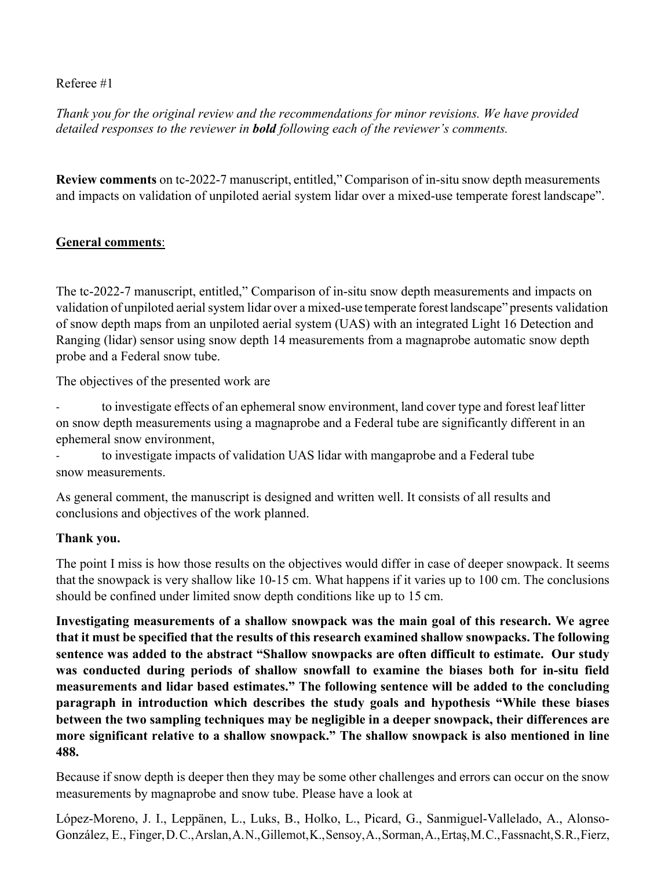## Referee #1

*Thank you for the original review and the recommendations for minor revisions. We have provided detailed responses to the reviewer in bold following each of the reviewer's comments.*

**Review comments** on tc-2022-7 manuscript, entitled," Comparison of in-situ snow depth measurements and impacts on validation of unpiloted aerial system lidar over a mixed-use temperate forest landscape".

## **General comments**:

The tc-2022-7 manuscript, entitled," Comparison of in-situ snow depth measurements and impacts on validation of unpiloted aerial system lidar over a mixed-use temperate forest landscape" presents validation of snow depth maps from an unpiloted aerial system (UAS) with an integrated Light 16 Detection and Ranging (lidar) sensor using snow depth 14 measurements from a magnaprobe automatic snow depth probe and a Federal snow tube.

The objectives of the presented work are

to investigate effects of an ephemeral snow environment, land cover type and forest leaf litter on snow depth measurements using a magnaprobe and a Federal tube are significantly different in an ephemeral snow environment,

to investigate impacts of validation UAS lidar with mangaprobe and a Federal tube snow measurements.

As general comment, the manuscript is designed and written well. It consists of all results and conclusions and objectives of the work planned.

## **Thank you.**

The point I miss is how those results on the objectives would differ in case of deeper snowpack. It seems that the snowpack is very shallow like 10-15 cm. What happens if it varies up to 100 cm. The conclusions should be confined under limited snow depth conditions like up to 15 cm.

**Investigating measurements of a shallow snowpack was the main goal of this research. We agree that it must be specified that the results of this research examined shallow snowpacks. The following sentence was added to the abstract "Shallow snowpacks are often difficult to estimate. Our study was conducted during periods of shallow snowfall to examine the biases both for in-situ field measurements and lidar based estimates." The following sentence will be added to the concluding paragraph in introduction which describes the study goals and hypothesis "While these biases between the two sampling techniques may be negligible in a deeper snowpack, their differences are more significant relative to a shallow snowpack." The shallow snowpack is also mentioned in line 488.**

Because if snow depth is deeper then they may be some other challenges and errors can occur on the snow measurements by magnaprobe and snow tube. Please have a look at

López-Moreno, J. I., Leppänen, L., Luks, B., Holko, L., Picard, G., Sanmiguel-Vallelado, A., Alonso-González, E., Finger,D.C.,Arslan,A.N.,Gillemot,K.,Sensoy,A.,Sorman,A.,Ertaş,M.C.,Fassnacht,S.R.,Fierz,